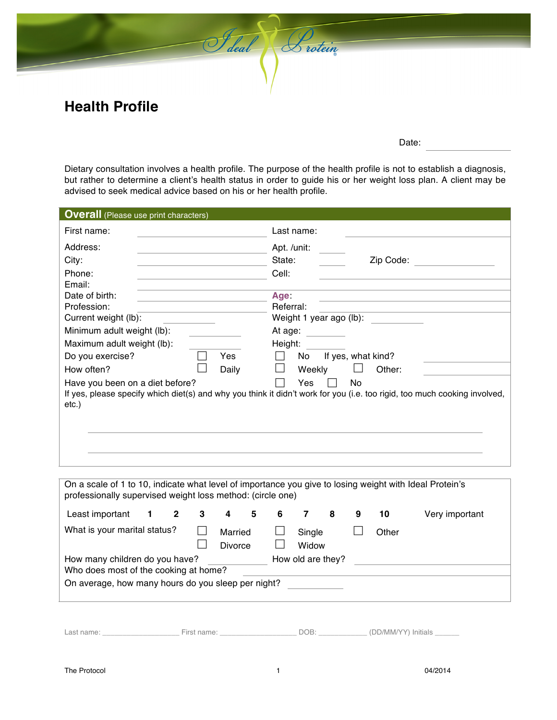

Date:

Dietary consultation involves a health profile. The purpose of the health profile is not to establish a diagnosis, but rather to determine a client's health status in order to guide his or her weight loss plan. A client may be advised to seek medical advice based on his or her health profile.

Saleal Suotein

| <b>Overall</b> (Please use print characters) |                                                                                                                                        |
|----------------------------------------------|----------------------------------------------------------------------------------------------------------------------------------------|
| First name:                                  | Last name:                                                                                                                             |
| Address:                                     | Apt. /unit:                                                                                                                            |
| City:                                        | Zip Code:<br>State:                                                                                                                    |
| Phone:                                       | Cell:                                                                                                                                  |
| Email:                                       |                                                                                                                                        |
| Date of birth:                               | Age:                                                                                                                                   |
| Profession:                                  | Referral:                                                                                                                              |
| Current weight (lb):                         | Weight 1 year ago (lb):                                                                                                                |
| Minimum adult weight (lb):                   | At age:                                                                                                                                |
| Maximum adult weight (lb):                   | Height:                                                                                                                                |
| Do you exercise?<br>Yes                      | If yes, what kind?<br>No.                                                                                                              |
| How often?<br>Daily                          | Weekly<br>Other:                                                                                                                       |
| Have you been on a diet before?<br>etc.)     | No<br>Yes<br>If yes, please specify which diet(s) and why you think it didn't work for you (i.e. too rigid, too much cooking involved, |
|                                              |                                                                                                                                        |
|                                              |                                                                                                                                        |
|                                              |                                                                                                                                        |
|                                              |                                                                                                                                        |

| On a scale of 1 to 10, indicate what level of importance you give to losing weight with Ideal Protein's<br>professionally supervised weight loss method: (circle one) |  |              |   |                    |   |   |                 |   |   |       |                |
|-----------------------------------------------------------------------------------------------------------------------------------------------------------------------|--|--------------|---|--------------------|---|---|-----------------|---|---|-------|----------------|
| Least important                                                                                                                                                       |  | $\mathbf{2}$ | 3 | 4                  | 5 | 6 |                 | 8 | 9 | 10    | Very important |
| What is your marital status?                                                                                                                                          |  |              |   | Married<br>Divorce |   |   | Single<br>Widow |   |   | Other |                |
| How many children do you have?<br>How old are they?                                                                                                                   |  |              |   |                    |   |   |                 |   |   |       |                |
| Who does most of the cooking at home?<br>On average, how many hours do you sleep per night?                                                                           |  |              |   |                    |   |   |                 |   |   |       |                |

Last name: \_\_\_\_\_\_\_\_\_\_\_\_\_\_\_\_\_\_\_ First name: \_\_\_\_\_\_\_\_\_\_\_\_\_\_\_\_\_\_\_ DOB: \_\_\_\_\_\_\_\_\_\_\_\_ (DD/MM/YY) Initials \_\_\_\_\_\_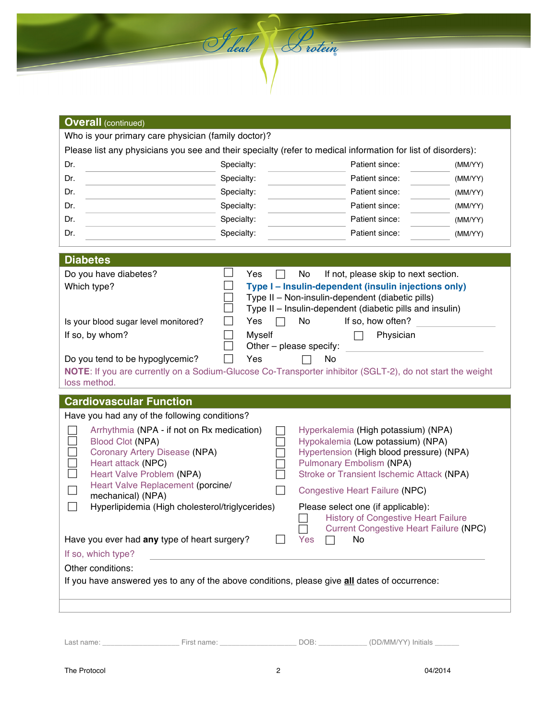| <b>Overall (continued)</b>                                                                                                                                                                                                                    |               |                                                                                                                                                                                                                                        |         |
|-----------------------------------------------------------------------------------------------------------------------------------------------------------------------------------------------------------------------------------------------|---------------|----------------------------------------------------------------------------------------------------------------------------------------------------------------------------------------------------------------------------------------|---------|
| Who is your primary care physician (family doctor)?<br>Please list any physicians you see and their specialty (refer to medical information for list of disorders):                                                                           |               |                                                                                                                                                                                                                                        |         |
| Dr.                                                                                                                                                                                                                                           | Specialty:    | Patient since:                                                                                                                                                                                                                         | (MM/YY) |
| Dr.                                                                                                                                                                                                                                           | Specialty:    | Patient since:                                                                                                                                                                                                                         | (MM/YY) |
| Dr.                                                                                                                                                                                                                                           | Specialty:    | Patient since:                                                                                                                                                                                                                         | (MM/YY) |
| Dr.                                                                                                                                                                                                                                           | Specialty:    | Patient since:                                                                                                                                                                                                                         | (MM/YY) |
| Dr.                                                                                                                                                                                                                                           | Specialty:    | Patient since:                                                                                                                                                                                                                         | (MM/YY) |
| Dr.                                                                                                                                                                                                                                           | Specialty:    | Patient since:                                                                                                                                                                                                                         | (MM/YY) |
|                                                                                                                                                                                                                                               |               |                                                                                                                                                                                                                                        |         |
| <b>Diabetes</b><br>Do you have diabetes?                                                                                                                                                                                                      | Yes           | No<br>If not, please skip to next section.                                                                                                                                                                                             |         |
| Which type?                                                                                                                                                                                                                                   |               | Type I - Insulin-dependent (insulin injections only)<br>Type II - Non-insulin-dependent (diabetic pills)<br>Type II - Insulin-dependent (diabetic pills and insulin)                                                                   |         |
| Is your blood sugar level monitored?                                                                                                                                                                                                          | Yes<br>$\Box$ | If so, how often?<br>No                                                                                                                                                                                                                |         |
| If so, by whom?                                                                                                                                                                                                                               | Myself        | Physician<br>Other - please specify:                                                                                                                                                                                                   |         |
| Do you tend to be hypoglycemic?<br>NOTE: If you are currently on a Sodium-Glucose Co-Transporter inhibitor (SGLT-2), do not start the weight<br>loss method.                                                                                  | Yes           | No                                                                                                                                                                                                                                     |         |
| <b>Cardiovascular Function</b>                                                                                                                                                                                                                |               |                                                                                                                                                                                                                                        |         |
| Have you had any of the following conditions?                                                                                                                                                                                                 |               |                                                                                                                                                                                                                                        |         |
| Arrhythmia (NPA - if not on Rx medication)<br><b>Blood Clot (NPA)</b><br>Coronary Artery Disease (NPA)<br>Heart attack (NPC)<br>×.<br>$\Box$<br>Heart Valve Problem (NPA)<br>Heart Valve Replacement (porcine/<br>$\Box$<br>mechanical) (NPA) |               | Hyperkalemia (High potassium) (NPA)<br>Hypokalemia (Low potassium) (NPA)<br>Hypertension (High blood pressure) (NPA)<br><b>Pulmonary Embolism (NPA)</b><br>Stroke or Transient Ischemic Attack (NPA)<br>Congestive Heart Failure (NPC) |         |
| Hyperlipidemia (High cholesterol/triglycerides)<br>$\Box$                                                                                                                                                                                     |               | Please select one (if applicable):<br><b>History of Congestive Heart Failure</b><br><b>Current Congestive Heart Failure (NPC)</b>                                                                                                      |         |
| Have you ever had any type of heart surgery?                                                                                                                                                                                                  |               | No<br>Yes                                                                                                                                                                                                                              |         |
|                                                                                                                                                                                                                                               |               |                                                                                                                                                                                                                                        |         |
| If so, which type?<br>Other conditions:                                                                                                                                                                                                       |               |                                                                                                                                                                                                                                        |         |

| Last name: | -<br>First name: | UDD/MM/YYY<br>Initials |
|------------|------------------|------------------------|
|            |                  |                        |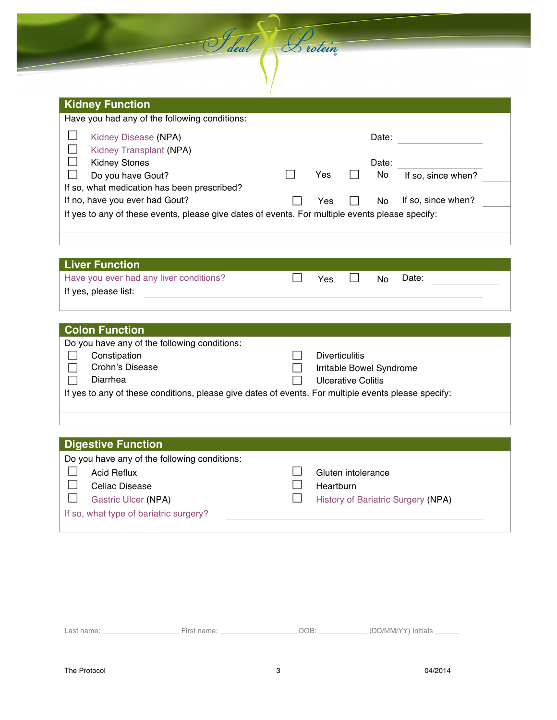| <b>Kidney Function</b>                                                                          |     |       |                    |  |
|-------------------------------------------------------------------------------------------------|-----|-------|--------------------|--|
| Have you had any of the following conditions:                                                   |     |       |                    |  |
| Kidney Disease (NPA)<br>Kidney Transplant (NPA)                                                 |     | Date: |                    |  |
| <b>Kidney Stones</b>                                                                            |     | Date: |                    |  |
| Do you have Gout?                                                                               | Yes | No.   | If so, since when? |  |
| If so, what medication has been prescribed?                                                     |     |       |                    |  |
| If no, have you ever had Gout?                                                                  | Yes | No.   | If so, since when? |  |
| If yes to any of these events, please give dates of events. For multiple events please specify: |     |       |                    |  |

Feleal Protein

| <b>Liver Function</b>                   |     |     |       |
|-----------------------------------------|-----|-----|-------|
| Have you ever had any liver conditions? | Yes | No. | Date: |
| If yes, please list:                    |     |     |       |
|                                         |     |     |       |

| <b>Colon Function</b>                                                                               |                          |
|-----------------------------------------------------------------------------------------------------|--------------------------|
| Do you have any of the following conditions:                                                        |                          |
| Constipation                                                                                        | <b>Diverticulitis</b>    |
| Crohn's Disease                                                                                     | Irritable Bowel Syndrome |
| Diarrhea                                                                                            | Ulcerative Colitis       |
| If yes to any of these conditions, please give dates of events. For multiple events please specify: |                          |
|                                                                                                     |                          |
|                                                                                                     |                          |

## **Digestive Function**

| ________________                             |                                           |
|----------------------------------------------|-------------------------------------------|
| Do you have any of the following conditions: |                                           |
| <b>Acid Reflux</b>                           | Gluten intolerance                        |
| Celiac Disease                               | Heartburn                                 |
| <b>Gastric Ulcer (NPA)</b>                   | <b>History of Bariatric Surgery (NPA)</b> |
| If so, what type of bariatric surgery?       |                                           |
|                                              |                                           |

| Last name: | First name: | JOB | (DD/MM/YY) Initials |
|------------|-------------|-----|---------------------|
|------------|-------------|-----|---------------------|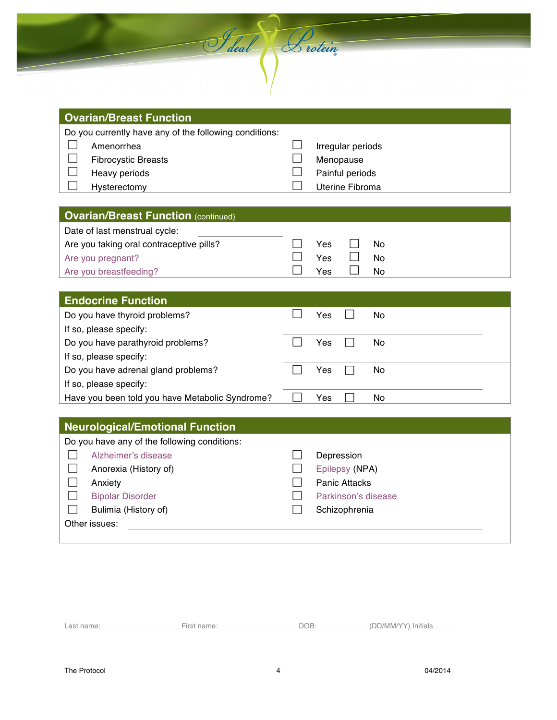| Do you currently have any of the following conditions:<br>$\mathsf{L}$<br>Amenorrhea<br>$\vert \ \ \vert$<br><b>Fibrocystic Breasts</b><br>$\Box$<br>Heavy periods<br>×.<br>Hysterectomy |                          | Irregular periods<br>Menopause<br>Painful periods<br>Uterine Fibroma |
|------------------------------------------------------------------------------------------------------------------------------------------------------------------------------------------|--------------------------|----------------------------------------------------------------------|
| <b>Ovarian/Breast Function (continued)</b>                                                                                                                                               |                          |                                                                      |
| Date of last menstrual cycle:<br>Are you taking oral contraceptive pills?<br>Are you pregnant?<br>Are you breastfeeding?                                                                 |                          | Yes<br>No<br>Yes<br><b>No</b><br>No<br>Yes                           |
| <b>Endocrine Function</b>                                                                                                                                                                |                          |                                                                      |
| Do you have thyroid problems?                                                                                                                                                            |                          | Yes<br>No                                                            |
| If so, please specify:                                                                                                                                                                   |                          |                                                                      |
| Do you have parathyroid problems?                                                                                                                                                        | $\sim$                   | N <sub>o</sub><br>Yes<br>$\vert \ \ \vert$                           |
| If so, please specify:                                                                                                                                                                   | $\overline{\phantom{a}}$ |                                                                      |
| Do you have adrenal gland problems?<br>If so, please specify:                                                                                                                            |                          | Yes<br>No                                                            |
| Have you been told you have Metabolic Syndrome?                                                                                                                                          |                          | <b>No</b><br>Yes                                                     |
| <b>Neurological/Emotional Function</b>                                                                                                                                                   |                          |                                                                      |
| Do you have any of the following conditions:                                                                                                                                             |                          |                                                                      |
| Alzheimer's disease<br>×.                                                                                                                                                                |                          | Depression                                                           |
| Anorexia (History of)                                                                                                                                                                    |                          | Epilepsy (NPA)                                                       |
| $\Box$<br>Anxiety                                                                                                                                                                        |                          | <b>Panic Attacks</b>                                                 |
| $\Box$<br><b>Bipolar Disorder</b>                                                                                                                                                        |                          | Parkinson's disease                                                  |
| Bulimia (History of)                                                                                                                                                                     |                          | Schizophrenia                                                        |

Seleal Protein

Last name: \_\_\_\_\_\_\_\_\_\_\_\_\_\_\_\_\_\_\_ First name: \_\_\_\_\_\_\_\_\_\_\_\_\_\_\_\_\_\_\_ DOB: \_\_\_\_\_\_\_\_\_\_\_\_ (DD/MM/YY) Initials \_\_\_\_\_\_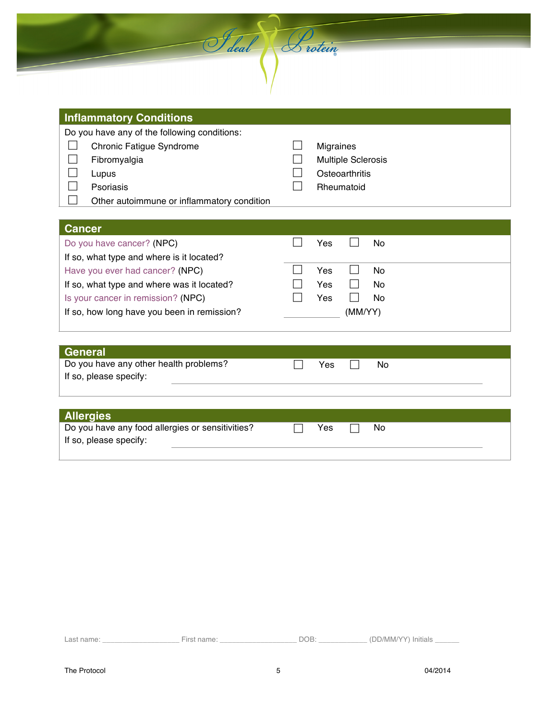| deal | D rotein |
|------|----------|
|      |          |

| <b>INITIALITE CONDITIONS</b>                                                                                                                                 |                                                                               |
|--------------------------------------------------------------------------------------------------------------------------------------------------------------|-------------------------------------------------------------------------------|
| Do you have any of the following conditions:<br>Chronic Fatigue Syndrome<br>Fibromyalgia<br>Lupus<br>Psoriasis<br>Other autoimmune or inflammatory condition | <b>Migraines</b><br><b>Multiple Sclerosis</b><br>Osteoarthritis<br>Rheumatoid |
| <b>Cancer</b>                                                                                                                                                |                                                                               |
| Do you have cancer? (NPC)                                                                                                                                    | No<br>Yes                                                                     |
| If so, what type and where is it located?<br>Have you ever had cancer? (NPC)                                                                                 | Yes<br>No.                                                                    |
| If so, what type and where was it located?                                                                                                                   | No.<br>Yes                                                                    |
| Is your cancer in remission? (NPC)                                                                                                                           | Yes<br>No                                                                     |
| If so, how long have you been in remission?                                                                                                                  | (MM/YY)                                                                       |
|                                                                                                                                                              |                                                                               |
|                                                                                                                                                              |                                                                               |
| General                                                                                                                                                      |                                                                               |
| Do you have any other health problems?<br>If so, please specify:                                                                                             | No<br>Yes                                                                     |
|                                                                                                                                                              |                                                                               |

| <b>Allergies</b>                                 |     |     |  |
|--------------------------------------------------|-----|-----|--|
| Do you have any food allergies or sensitivities? | Yes | No. |  |
| If so, please specify:                           |     |     |  |
|                                                  |     |     |  |

| Last name: | -<br>First name: | DОB | (DD/MM/YY) Initials |  |
|------------|------------------|-----|---------------------|--|
|            |                  |     |                     |  |

**Inflammatory Conditions**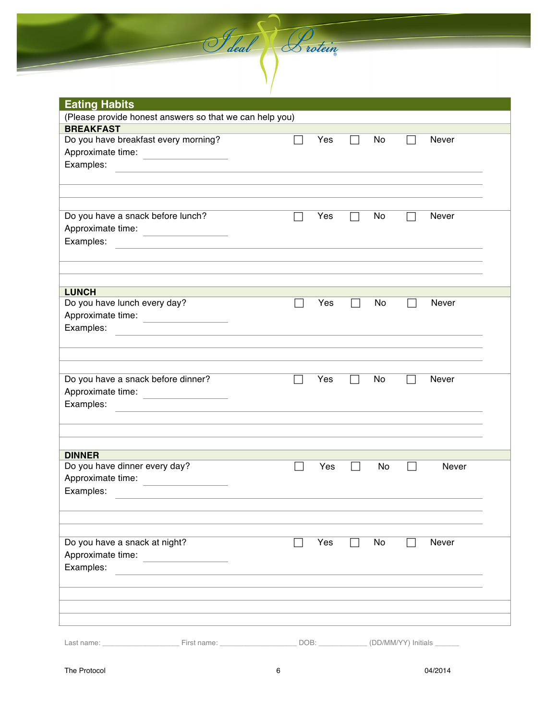**Eating Habits** (Please provide honest answers so that we can help you) **BREAKFAST** Do you have breakfast every morning? The Monton State Monton Never Approximate time: Examples: Do you have a snack before lunch?  $\Box$  Yes  $\Box$  No  $\Box$  Never Approximate time: Examples: **LUNCH** Do you have lunch every day?  $\Box$  Yes  $\Box$  No  $\Box$  Never Approximate time: Examples: Do you have a snack before dinner?  $\Box$  Yes  $\Box$  No  $\Box$  Never Approximate time: Examples: **DINNER** Do you have dinner every day?  $\Box$  Yes  $\Box$  No  $\Box$  Never Approximate time: Examples: The contract of the contract of the contract of the contract of the contract of the contract of the contract of the contract of the contract of the contract of the contract of the contract of the contract of the Do you have a snack at night?  $\Box$  Yes  $\Box$  No  $\Box$  Never Approximate time: Examples: The state of the state of the state of the state of the state of the state of the state of the state of the state of the state of the state of the state of the state of the state of the state of the state of the Last name: \_\_\_\_\_\_\_\_\_\_\_\_\_\_\_\_\_\_\_ First name: \_\_\_\_\_\_\_\_\_\_\_\_\_\_\_\_\_\_\_ DOB: \_\_\_\_\_\_\_\_\_\_\_\_ (DD/MM/YY) Initials \_\_\_\_\_\_

Seal & rotein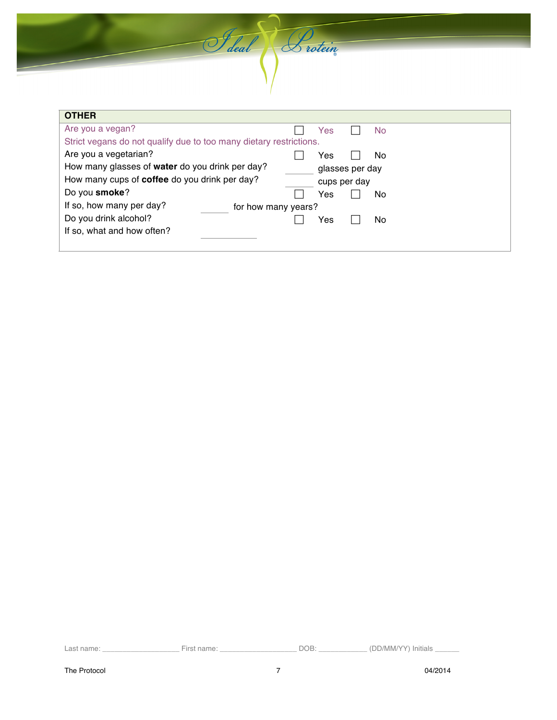Selal Brotein

| <b>OTHER</b>                                                       |              |     |                 |     |
|--------------------------------------------------------------------|--------------|-----|-----------------|-----|
| Are you a vegan?                                                   |              | Yes |                 | No. |
| Strict vegans do not qualify due to too many dietary restrictions. |              |     |                 |     |
| Are you a vegetarian?                                              |              | Yes |                 | No. |
| How many glasses of water do you drink per day?                    |              |     | glasses per day |     |
| How many cups of <b>coffee</b> do you drink per day?               | cups per day |     |                 |     |
| Do you smoke?                                                      |              | Yes |                 | No  |
| If so, how many per day?<br>for how many years?                    |              |     |                 |     |
| Do you drink alcohol?                                              |              | Yes |                 | No. |
| If so, what and how often?                                         |              |     |                 |     |
|                                                                    |              |     |                 |     |

Last name: \_\_\_\_\_\_\_\_\_\_\_\_\_\_\_\_\_\_\_ First name: \_\_\_\_\_\_\_\_\_\_\_\_\_\_\_\_\_\_\_ DOB: \_\_\_\_\_\_\_\_\_\_\_\_ (DD/MM/YY) Initials \_\_\_\_\_\_

٦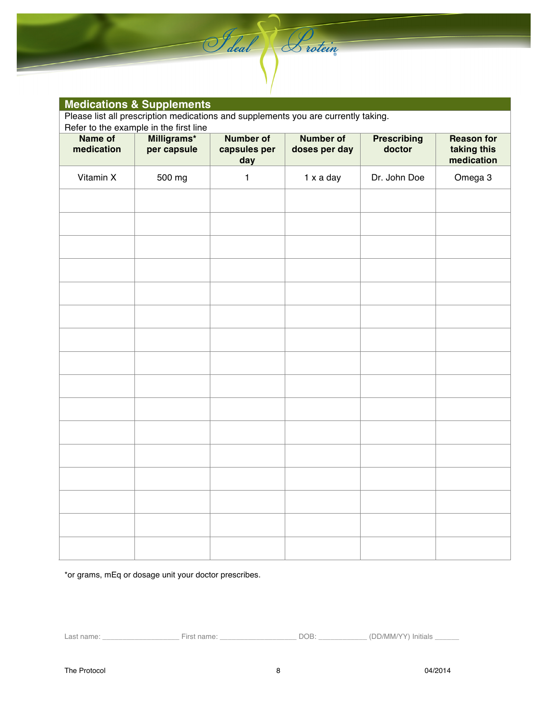|                       | <b>Medications &amp; Supplements</b>   |                                         |                                                                                    |                              |                                                |
|-----------------------|----------------------------------------|-----------------------------------------|------------------------------------------------------------------------------------|------------------------------|------------------------------------------------|
|                       |                                        |                                         | Please list all prescription medications and supplements you are currently taking. |                              |                                                |
|                       | Refer to the example in the first line |                                         |                                                                                    |                              |                                                |
| Name of<br>medication | Milligrams*<br>per capsule             | <b>Number of</b><br>capsules per<br>day | <b>Number of</b><br>doses per day                                                  | <b>Prescribing</b><br>doctor | <b>Reason for</b><br>taking this<br>medication |
| Vitamin X             | 500 mg                                 | $\mathbf{1}$                            | 1 x a day                                                                          | Dr. John Doe                 | Omega 3                                        |
|                       |                                        |                                         |                                                                                    |                              |                                                |
|                       |                                        |                                         |                                                                                    |                              |                                                |
|                       |                                        |                                         |                                                                                    |                              |                                                |
|                       |                                        |                                         |                                                                                    |                              |                                                |
|                       |                                        |                                         |                                                                                    |                              |                                                |
|                       |                                        |                                         |                                                                                    |                              |                                                |
|                       |                                        |                                         |                                                                                    |                              |                                                |
|                       |                                        |                                         |                                                                                    |                              |                                                |
|                       |                                        |                                         |                                                                                    |                              |                                                |
|                       |                                        |                                         |                                                                                    |                              |                                                |
|                       |                                        |                                         |                                                                                    |                              |                                                |
|                       |                                        |                                         |                                                                                    |                              |                                                |
|                       |                                        |                                         |                                                                                    |                              |                                                |
|                       |                                        |                                         |                                                                                    |                              |                                                |
|                       |                                        |                                         |                                                                                    |                              |                                                |
|                       |                                        |                                         |                                                                                    |                              |                                                |
|                       |                                        |                                         |                                                                                    |                              |                                                |

Felal Protein

\*or grams, mEq or dosage unit your doctor prescribes.

Last name: \_\_\_\_\_\_\_\_\_\_\_\_\_\_\_\_\_\_\_\_\_\_\_\_\_\_\_ First name: \_\_\_\_\_\_\_\_\_\_\_\_\_\_\_\_\_\_\_\_\_\_\_\_\_\_\_\_\_ DOB: \_\_\_\_\_\_\_\_\_\_\_\_\_ (DD/MM/YY) Initials \_\_\_\_\_\_\_